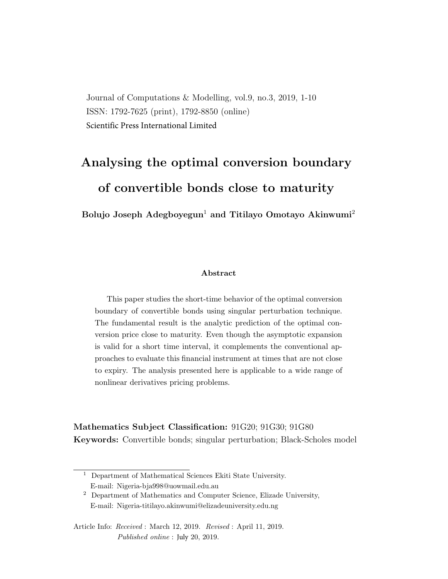Journal of Computations & Modelling, vol.9, no.3, 2019, 1-10 ISSN: 1792-7625 (print), 1792-8850 (online) Scientific Press International Limited

# Analysing the optimal conversion boundary of convertible bonds close to maturity

Bolujo Joseph Adegboyegun<sup>1</sup> and Titilayo Omotayo Akinwumi<sup>2</sup>

#### Abstract

This paper studies the short-time behavior of the optimal conversion boundary of convertible bonds using singular perturbation technique. The fundamental result is the analytic prediction of the optimal conversion price close to maturity. Even though the asymptotic expansion is valid for a short time interval, it complements the conventional approaches to evaluate this financial instrument at times that are not close to expiry. The analysis presented here is applicable to a wide range of nonlinear derivatives pricing problems.

Mathematics Subject Classification: 91G20; 91G30; 91G80 Keywords: Convertible bonds; singular perturbation; Black-Scholes model

 $^{\rm 1}$  Department of Mathematical Sciences Ekiti State University. E-mail: Nigeria-bja998@uowmail.edu.au

<sup>2</sup> Department of Mathematics and Computer Science, Elizade University, E-mail: Nigeria-titilayo.akinwumi@elizadeuniversity.edu.ng

Article Info: Received : March 12, 2019. Revised : April 11, 2019. Published online : July 20, 2019.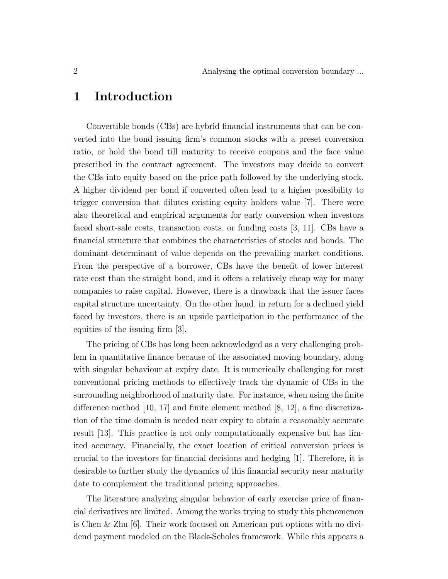#### 1 Introduction

Convertible bonds (CBs) are hybrid financial instruments that can be converted into the bond issuing firm's common stocks with a preset conversion ratio, or hold the bond till maturity to receive coupons and the face value prescribed in the contract agreement. The investors may decide to convert the CBs into equity based on the price path followed by the underlying stock. A higher dividend per bond if converted often lead to a higher possibility to trigger conversion that dilutes existing equity holders value [7]. There were also theoretical and empirical arguments for early conversion when investors faced short-sale costs, transaction costs, or funding costs [3, 11]. CBs have a financial structure that combines the characteristics of stocks and bonds. The dominant determinant of value depends on the prevailing market conditions. From the perspective of a borrower, CBs have the benefit of lower interest rate cost than the straight bond, and it offers a relatively cheap way for many companies to raise capital. However, there is a drawback that the issuer faces capital structure uncertainty. On the other hand, in return for a declined yield faced by investors, there is an upside participation in the performance of the equities of the issuing firm [3].

The pricing of CBs has long been acknowledged as a very challenging problem in quantitative finance because of the associated moving boundary, along with singular behaviour at expiry date. It is numerically challenging for most conventional pricing methods to effectively track the dynamic of CBs in the surrounding neighborhood of maturity date. For instance, when using the finite difference method  $[10, 17]$  and finite element method  $[8, 12]$ , a fine discretization of the time domain is needed near expiry to obtain a reasonably accurate result [13]. This practice is not only computationally expensive but has limited accuracy. Financially, the exact location of critical conversion prices is crucial to the investors for financial decisions and hedging [1]. Therefore, it is desirable to further study the dynamics of this financial security near maturity date to complement the traditional pricing approaches.

The literature analyzing singular behavior of early exercise price of financial derivatives are limited. Among the works trying to study this phenomenon is Chen & Zhu [6]. Their work focused on American put options with no dividend payment modeled on the Black-Scholes framework. While this appears a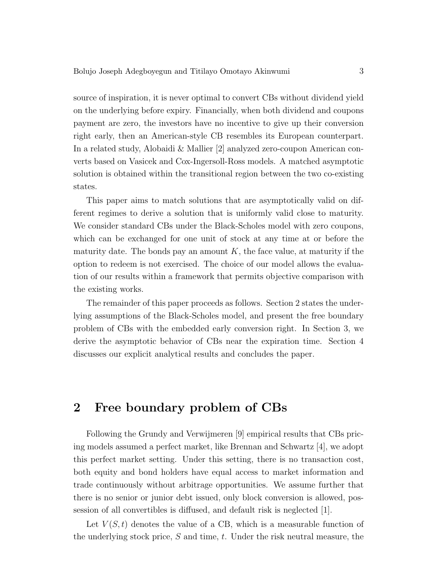source of inspiration, it is never optimal to convert CBs without dividend yield on the underlying before expiry. Financially, when both dividend and coupons payment are zero, the investors have no incentive to give up their conversion right early, then an American-style CB resembles its European counterpart. In a related study, Alobaidi & Mallier [2] analyzed zero-coupon American converts based on Vasicek and Cox-Ingersoll-Ross models. A matched asymptotic solution is obtained within the transitional region between the two co-existing states.

This paper aims to match solutions that are asymptotically valid on different regimes to derive a solution that is uniformly valid close to maturity. We consider standard CBs under the Black-Scholes model with zero coupons, which can be exchanged for one unit of stock at any time at or before the maturity date. The bonds pay an amount  $K$ , the face value, at maturity if the option to redeem is not exercised. The choice of our model allows the evaluation of our results within a framework that permits objective comparison with the existing works.

The remainder of this paper proceeds as follows. Section 2 states the underlying assumptions of the Black-Scholes model, and present the free boundary problem of CBs with the embedded early conversion right. In Section 3, we derive the asymptotic behavior of CBs near the expiration time. Section 4 discusses our explicit analytical results and concludes the paper.

#### 2 Free boundary problem of CBs

Following the Grundy and Verwijmeren [9] empirical results that CBs pricing models assumed a perfect market, like Brennan and Schwartz [4], we adopt this perfect market setting. Under this setting, there is no transaction cost, both equity and bond holders have equal access to market information and trade continuously without arbitrage opportunities. We assume further that there is no senior or junior debt issued, only block conversion is allowed, possession of all convertibles is diffused, and default risk is neglected [1].

Let  $V(S, t)$  denotes the value of a CB, which is a measurable function of the underlying stock price,  $S$  and time,  $t$ . Under the risk neutral measure, the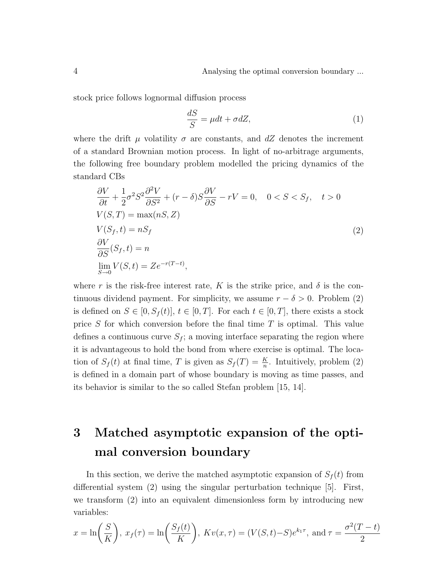stock price follows lognormal diffusion process

$$
\frac{dS}{S} = \mu dt + \sigma dZ,\tag{1}
$$

where the drift  $\mu$  volatility  $\sigma$  are constants, and dZ denotes the increment of a standard Brownian motion process. In light of no-arbitrage arguments, the following free boundary problem modelled the pricing dynamics of the standard CBs

$$
\frac{\partial V}{\partial t} + \frac{1}{2}\sigma^2 S^2 \frac{\partial^2 V}{\partial S^2} + (r - \delta) S \frac{\partial V}{\partial S} - rV = 0, \quad 0 < S < S_f, \quad t > 0
$$
\n
$$
V(S, T) = \max(nS, Z)
$$
\n
$$
V(S_f, t) = nS_f
$$
\n
$$
\frac{\partial V}{\partial S}(S_f, t) = n
$$
\n
$$
\lim_{S \to 0} V(S, t) = Ze^{-r(T - t)},
$$
\n
$$
(2)
$$

where r is the risk-free interest rate, K is the strike price, and  $\delta$  is the continuous dividend payment. For simplicity, we assume  $r - \delta > 0$ . Problem (2) is defined on  $S \in [0, S_f(t)]$ ,  $t \in [0, T]$ . For each  $t \in [0, T]$ , there exists a stock price  $S$  for which conversion before the final time  $T$  is optimal. This value defines a continuous curve  $S_f$ ; a moving interface separating the region where it is advantageous to hold the bond from where exercise is optimal. The location of  $S_f(t)$  at final time, T is given as  $S_f(T) = \frac{K}{n}$ . Intuitively, problem (2) is defined in a domain part of whose boundary is moving as time passes, and its behavior is similar to the so called Stefan problem [15, 14].

## 3 Matched asymptotic expansion of the optimal conversion boundary

In this section, we derive the matched asymptotic expansion of  $S_f(t)$  from differential system (2) using the singular perturbation technique [5]. First, we transform (2) into an equivalent dimensionless form by introducing new variables:

$$
x = \ln\left(\frac{S}{K}\right), x_f(\tau) = \ln\left(\frac{S_f(t)}{K}\right), Kv(x, \tau) = (V(S, t) - S)e^{k_1\tau}, \text{ and } \tau = \frac{\sigma^2(T - t)}{2}
$$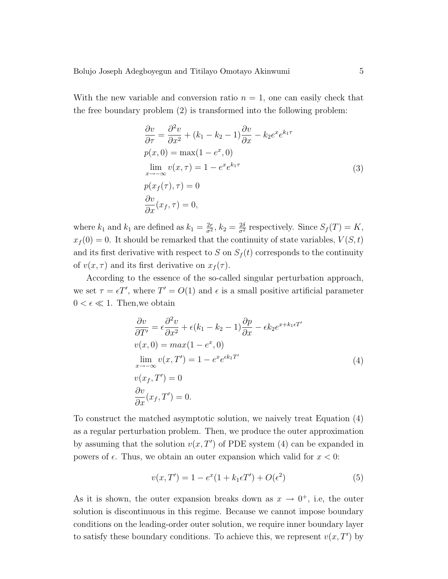With the new variable and conversion ratio  $n = 1$ , one can easily check that the free boundary problem (2) is transformed into the following problem:

$$
\frac{\partial v}{\partial \tau} = \frac{\partial^2 v}{\partial x^2} + (k_1 - k_2 - 1) \frac{\partial v}{\partial x} - k_2 e^x e^{k_1 \tau}
$$
  
\n
$$
p(x, 0) = \max(1 - e^x, 0)
$$
  
\n
$$
\lim_{x \to -\infty} v(x, \tau) = 1 - e^x e^{k_1 \tau}
$$
  
\n
$$
p(x_f(\tau), \tau) = 0
$$
  
\n
$$
\frac{\partial v}{\partial x}(x_f, \tau) = 0,
$$
\n(3)

where  $k_1$  and  $k_1$  are defined as  $k_1 = \frac{2r}{\sigma^2}$  $\frac{2r}{\sigma^2}$ ,  $k_2 = \frac{2\delta}{\sigma^2}$  respectively. Since  $S_f(T) = K$ ,  $x_f (0) = 0$ . It should be remarked that the continuity of state variables,  $V(S,t)$ and its first derivative with respect to S on  $S_f(t)$  corresponds to the continuity of  $v(x, \tau)$  and its first derivative on  $x_f(\tau)$ .

According to the essence of the so-called singular perturbation approach, we set  $\tau = \epsilon T'$ , where  $T' = O(1)$  and  $\epsilon$  is a small positive artificial parameter  $0 < \epsilon \ll 1$ . Then, we obtain

$$
\frac{\partial v}{\partial T'} = \epsilon \frac{\partial^2 v}{\partial x^2} + \epsilon (k_1 - k_2 - 1) \frac{\partial p}{\partial x} - \epsilon k_2 e^{x + k_1 \epsilon T'}
$$
  
\n
$$
v(x, 0) = max(1 - e^x, 0)
$$
  
\n
$$
\lim_{x \to -\infty} v(x, T') = 1 - e^x e^{\epsilon k_1 T'}
$$
  
\n
$$
v(x_f, T') = 0
$$
  
\n
$$
\frac{\partial v}{\partial x}(x_f, T') = 0.
$$
\n(4)

To construct the matched asymptotic solution, we naively treat Equation (4) as a regular perturbation problem. Then, we produce the outer approximation by assuming that the solution  $v(x, T')$  of PDE system (4) can be expanded in powers of  $\epsilon$ . Thus, we obtain an outer expansion which valid for  $x < 0$ :

$$
v(x, T') = 1 - e^{x}(1 + k_1 \epsilon T') + O(\epsilon^2)
$$
\n(5)

As it is shown, the outer expansion breaks down as  $x \to 0^+$ , i.e, the outer solution is discontinuous in this regime. Because we cannot impose boundary conditions on the leading-order outer solution, we require inner boundary layer to satisfy these boundary conditions. To achieve this, we represent  $v(x, T')$  by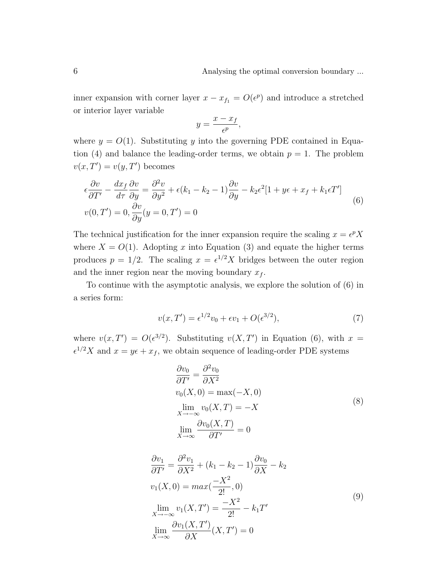inner expansion with corner layer  $x - x_{f_1} = O(\epsilon^p)$  and introduce a stretched or interior layer variable

$$
y = \frac{x - x_f}{\epsilon^p},
$$

where  $y = O(1)$ . Substituting y into the governing PDE contained in Equation (4) and balance the leading-order terms, we obtain  $p = 1$ . The problem  $v(x,T') = v(y,T')$  becomes

$$
\epsilon \frac{\partial v}{\partial T'} - \frac{dx_f}{d\tau} \frac{\partial v}{\partial y} = \frac{\partial^2 v}{\partial y^2} + \epsilon (k_1 - k_2 - 1) \frac{\partial v}{\partial y} - k_2 \epsilon^2 [1 + y\epsilon + x_f + k_1 \epsilon T'] v(0, T') = 0, \frac{\partial v}{\partial y} (y = 0, T') = 0
$$
\n(6)

The technical justification for the inner expansion require the scaling  $x = e^p X$ where  $X = O(1)$ . Adopting x into Equation (3) and equate the higher terms produces  $p = 1/2$ . The scaling  $x = e^{1/2}X$  bridges between the outer region and the inner region near the moving boundary  $x_f$ .

To continue with the asymptotic analysis, we explore the solution of (6) in a series form:

$$
v(x,T') = \epsilon^{1/2}v_0 + \epsilon v_1 + O(\epsilon^{3/2}),\tag{7}
$$

where  $v(x,T') = O(\epsilon^{3/2})$ . Substituting  $v(X,T')$  in Equation (6), with  $x =$  $\epsilon^{1/2}X$  and  $x = y\epsilon + x_f$ , we obtain sequence of leading-order PDE systems

$$
\frac{\partial v_0}{\partial T'} = \frac{\partial^2 v_0}{\partial X^2}
$$
  
\n
$$
v_0(X, 0) = \max(-X, 0)
$$
  
\n
$$
\lim_{X \to -\infty} v_0(X, T) = -X
$$
  
\n
$$
\lim_{X \to \infty} \frac{\partial v_0(X, T)}{\partial T'} = 0
$$
\n(8)

$$
\frac{\partial v_1}{\partial T'} = \frac{\partial^2 v_1}{\partial X^2} + (k_1 - k_2 - 1) \frac{\partial v_0}{\partial X} - k_2
$$
  
\n
$$
v_1(X, 0) = \max(\frac{-X^2}{2!}, 0)
$$
  
\n
$$
\lim_{X \to -\infty} v_1(X, T') = \frac{-X^2}{2!} - k_1 T'
$$
  
\n
$$
\lim_{X \to \infty} \frac{\partial v_1(X, T')}{\partial X}(X, T') = 0
$$
\n(9)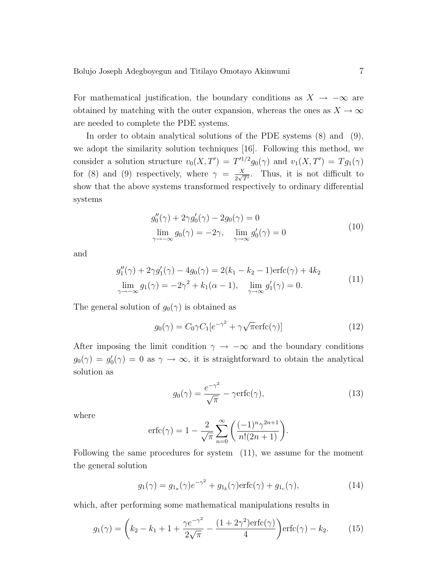For mathematical justification, the boundary conditions as  $X \to -\infty$  are obtained by matching with the outer expansion, whereas the ones as  $X \to \infty$ are needed to complete the PDE systems.

In order to obtain analytical solutions of the PDE systems (8) and (9), we adopt the similarity solution techniques [16]. Following this method, we consider a solution structure  $v_0(X,T') = T'^{1/2} g_0(\gamma)$  and  $v_1(X,T') = T g_1(\gamma)$ for (8) and (9) respectively, where  $\gamma = \frac{X}{2\sqrt{3}}$  $\frac{X}{2\sqrt{T'}}$ . Thus, it is not difficult to show that the above systems transformed respectively to ordinary differential systems

$$
g_0''(\gamma) + 2\gamma g_0'(\gamma) - 2g_0(\gamma) = 0
$$
  
\n
$$
\lim_{\gamma \to -\infty} g_0(\gamma) = -2\gamma, \quad \lim_{\gamma \to \infty} g_0'(\gamma) = 0
$$
\n(10)

and

$$
g_1''(\gamma) + 2\gamma g_1'(\gamma) - 4g_0(\gamma) = 2(k_1 - k_2 - 1)\text{erfc}(\gamma) + 4k_2
$$
  
\n
$$
\lim_{\gamma \to -\infty} g_1(\gamma) = -2\gamma^2 + k_1(\alpha - 1), \quad \lim_{\gamma \to \infty} g_1'(\gamma) = 0.
$$
\n(11)

The general solution of  $g_0(\gamma)$  is obtained as

$$
g_0(\gamma) = C_0 \gamma C_1 [e^{-\gamma^2} + \gamma \sqrt{\pi} \text{erfc}(\gamma)] \tag{12}
$$

After imposing the limit condition  $\gamma \to -\infty$  and the boundary conditions  $g_0(\gamma) = g'_0(\gamma) = 0$  as  $\gamma \to \infty$ , it is straightforward to obtain the analytical solution as

$$
g_0(\gamma) = \frac{e^{-\gamma^2}}{\sqrt{\pi}} - \gamma \text{erfc}(\gamma),\tag{13}
$$

where

$$
\operatorname{erfc}(\gamma) = 1 - \frac{2}{\sqrt{\pi}} \sum_{n=0}^{\infty} \left( \frac{(-1)^n \gamma^{2n+1}}{n!(2n+1)} \right).
$$

Following the same procedures for system (11), we assume for the moment the general solution

$$
g_1(\gamma) = g_{1_a}(\gamma)e^{-\gamma^2} + g_{1_b}(\gamma)\text{erfc}(\gamma) + g_{1_c}(\gamma),
$$
\n(14)

which, after performing some mathematical manipulations results in

$$
g_1(\gamma) = \left(k_2 - k_1 + 1 + \frac{\gamma e^{-\gamma^2}}{2\sqrt{\pi}} - \frac{(1 + 2\gamma^2)\text{erfc}(\gamma)}{4}\right) \text{erfc}(\gamma) - k_2. \tag{15}
$$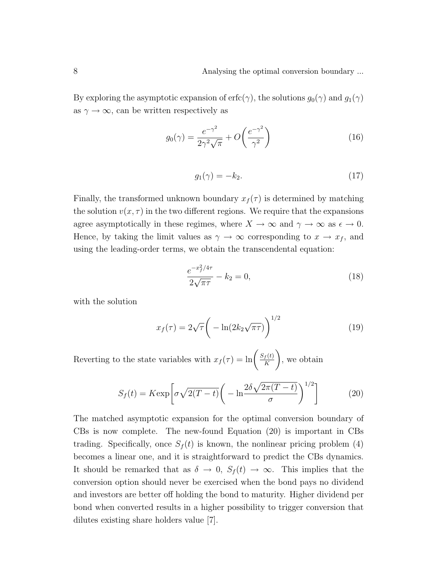By exploring the asymptotic expansion of erfc( $\gamma$ ), the solutions  $g_0(\gamma)$  and  $g_1(\gamma)$ as  $\gamma \to \infty$ , can be written respectively as

$$
g_0(\gamma) = \frac{e^{-\gamma^2}}{2\gamma^2\sqrt{\pi}} + O\left(\frac{e^{-\gamma^2}}{\gamma^2}\right)
$$
 (16)

$$
g_1(\gamma) = -k_2. \tag{17}
$$

Finally, the transformed unknown boundary  $x_f(\tau)$  is determined by matching the solution  $v(x, \tau)$  in the two different regions. We require that the expansions agree asymptotically in these regimes, where  $X \to \infty$  and  $\gamma \to \infty$  as  $\epsilon \to 0$ . Hence, by taking the limit values as  $\gamma \to \infty$  corresponding to  $x \to x_f$ , and using the leading-order terms, we obtain the transcendental equation:

$$
\frac{e^{-x_f^2/4\tau}}{2\sqrt{\pi\tau}} - k_2 = 0,
$$
\n(18)

with the solution

$$
x_f(\tau) = 2\sqrt{\tau} \left( -\ln(2k_2\sqrt{\pi\tau}) \right)^{1/2} \tag{19}
$$

Reverting to the state variables with  $x_f(\tau) = \ln\left(\frac{S_f(t)}{K}\right)$ K  $\setminus$ , we obtain

$$
S_f(t) = K \exp\left[\sigma \sqrt{2(T-t)} \left(-\ln \frac{2\delta \sqrt{2\pi (T-t)}}{\sigma}\right)^{1/2}\right]
$$
 (20)

The matched asymptotic expansion for the optimal conversion boundary of CBs is now complete. The new-found Equation (20) is important in CBs trading. Specifically, once  $S_f(t)$  is known, the nonlinear pricing problem (4) becomes a linear one, and it is straightforward to predict the CBs dynamics. It should be remarked that as  $\delta \to 0$ ,  $S_f(t) \to \infty$ . This implies that the conversion option should never be exercised when the bond pays no dividend and investors are better off holding the bond to maturity. Higher dividend per bond when converted results in a higher possibility to trigger conversion that dilutes existing share holders value [7].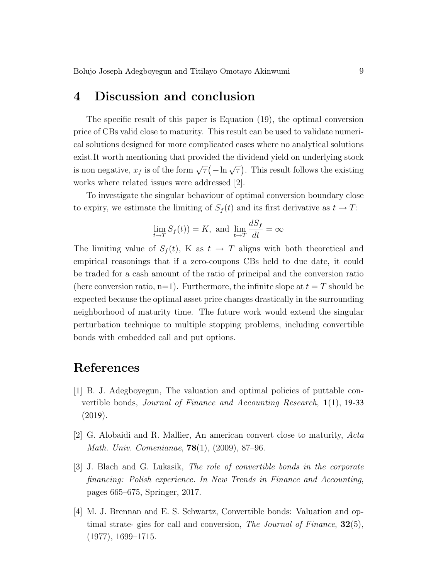#### 4 Discussion and conclusion

The specific result of this paper is Equation (19), the optimal conversion price of CBs valid close to maturity. This result can be used to validate numerical solutions designed for more complicated cases where no analytical solutions exist.It worth mentioning that provided the dividend yield on underlying stock is non negative,  $x_f$  is of the form  $\sqrt{\tau}(-\ln \sqrt{\tau})$ . This result follows the existing works where related issues were addressed [2].

To investigate the singular behaviour of optimal conversion boundary close to expiry, we estimate the limiting of  $S_f(t)$  and its first derivative as  $t \to T$ :

$$
\lim_{t \to T} S_f(t) = K, \text{ and } \lim_{t \to T} \frac{dS_f}{dt} = \infty
$$

The limiting value of  $S_f(t)$ , K as  $t \to T$  aligns with both theoretical and empirical reasonings that if a zero-coupons CBs held to due date, it could be traded for a cash amount of the ratio of principal and the conversion ratio (here conversion ratio, n=1). Furthermore, the infinite slope at  $t = T$  should be expected because the optimal asset price changes drastically in the surrounding neighborhood of maturity time. The future work would extend the singular perturbation technique to multiple stopping problems, including convertible bonds with embedded call and put options.

### References

- [1] B. J. Adegboyegun, The valuation and optimal policies of puttable convertible bonds, *Journal of Finance and Accounting Research*,  $\mathbf{1}(1)$ , 19-33  $(2019).$
- [2] G. Alobaidi and R. Mallier, An american convert close to maturity, Acta Math. Univ. Comenianae, 78(1), (2009), 87–96.
- [3] J. Blach and G. Lukasik, The role of convertible bonds in the corporate financing: Polish experience. In New Trends in Finance and Accounting, pages 665–675, Springer, 2017.
- [4] M. J. Brennan and E. S. Schwartz, Convertible bonds: Valuation and optimal strate- gies for call and conversion, The Journal of Finance,  $32(5)$ , (1977), 1699–1715.